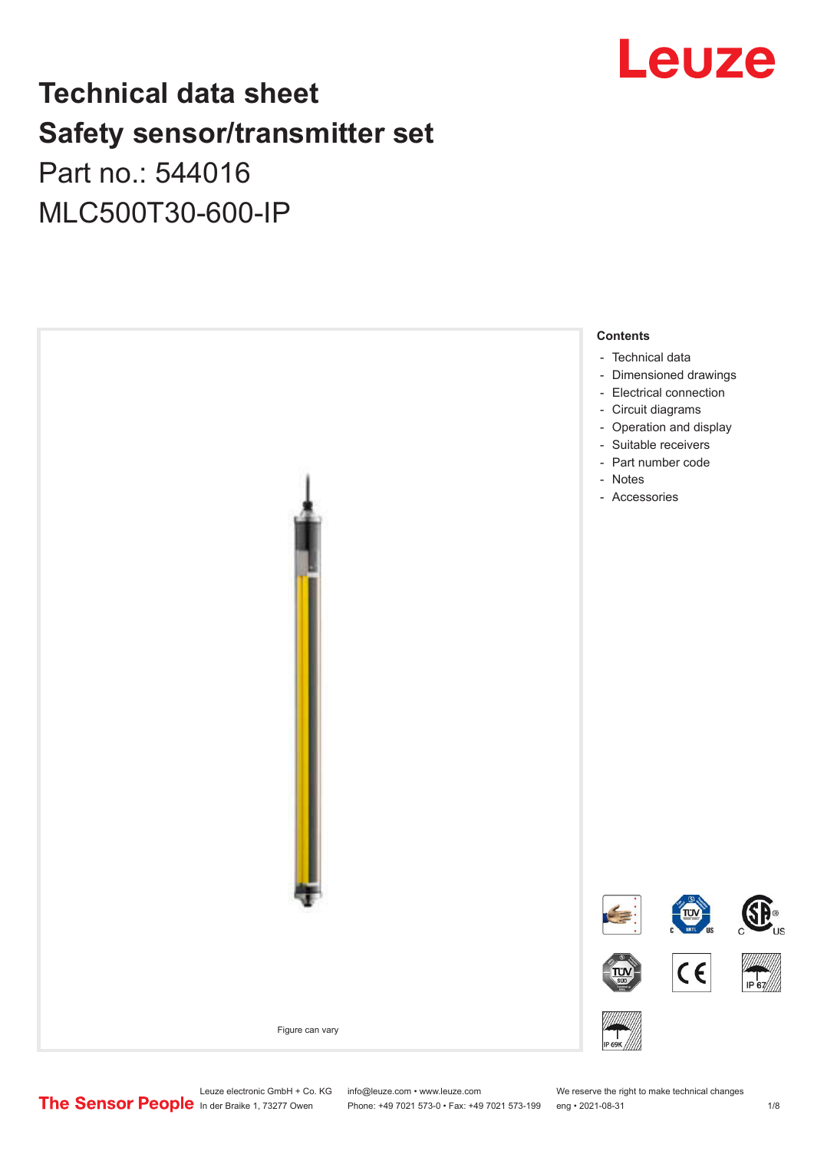

## **Technical data sheet Safety sensor/transmitter set**

Part no.: 544016 MLC500T30-600-IP



Leuze electronic GmbH + Co. KG info@leuze.com • www.leuze.com We reserve the right to make technical changes<br>
The Sensor People in der Braike 1, 73277 Owen Phone: +49 7021 573-0 • Fax: +49 7021 573-199 eng • 2021-08-31

Phone: +49 7021 573-0 • Fax: +49 7021 573-199 eng • 2021-08-31 1 2021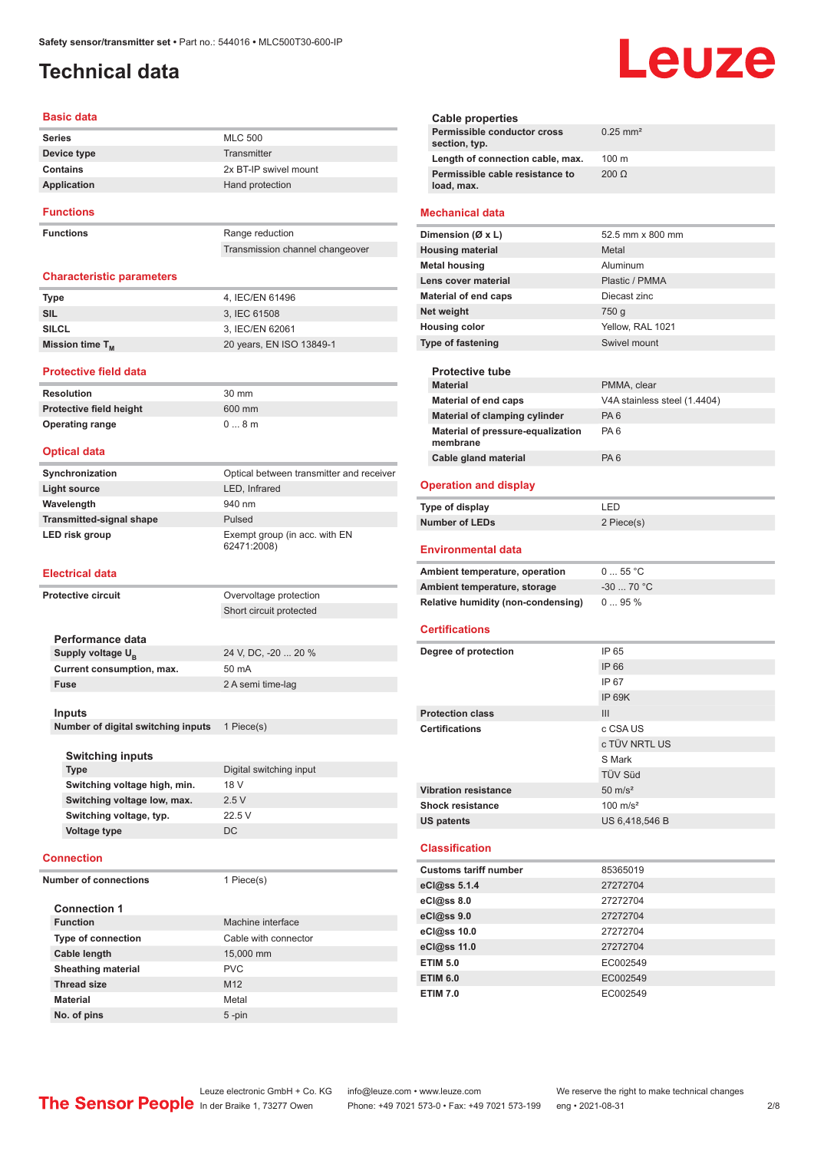### <span id="page-1-0"></span>**Technical data**

### **Basic data**

| <b>Series</b>    | <b>MLC 500</b>        |
|------------------|-----------------------|
| Device type      | Transmitter           |
| Contains         | 2x BT-IP swivel mount |
| Application      | Hand protection       |
| <b>Functions</b> |                       |

**Functions** Range reduction

### Transmission channel changeover

### **Characteristic parameters**

| <b>Type</b>                 | 4, IEC/EN 61496          |
|-----------------------------|--------------------------|
| SIL                         | 3. IEC 61508             |
| <b>SILCL</b>                | 3. IEC/EN 62061          |
| Mission time T <sub>M</sub> | 20 years, EN ISO 13849-1 |

**Resolution** 30 mm **Protective field height** 600 mm **Operating range** 0 ... 8 m

#### **Protective field data**

| <b>Resolution</b>              |  |
|--------------------------------|--|
| <b>Protective field height</b> |  |
| <b>Operating range</b>         |  |

### **Optical data**

| Synchronization                 | Optical between transmitter and receiver     |
|---------------------------------|----------------------------------------------|
| Light source                    | LED, Infrared                                |
| Wavelength                      | 940 nm                                       |
| <b>Transmitted-signal shape</b> | Pulsed                                       |
| LED risk group                  | Exempt group (in acc. with EN<br>62471:2008) |

### **Electrical data**

|                                                                                                                                                                                                              |                                    | Overvoltage protection  |
|--------------------------------------------------------------------------------------------------------------------------------------------------------------------------------------------------------------|------------------------------------|-------------------------|
| <b>Protective circuit</b><br>Performance data<br>Supply voltage $U_{B}$<br>Current consumption, max.<br><b>Fuse</b><br>Inputs                                                                                |                                    | Short circuit protected |
|                                                                                                                                                                                                              |                                    |                         |
|                                                                                                                                                                                                              |                                    |                         |
|                                                                                                                                                                                                              |                                    | 24 V, DC, -20  20 %     |
|                                                                                                                                                                                                              |                                    | 50 mA                   |
|                                                                                                                                                                                                              |                                    | 2 A semi time-lag       |
|                                                                                                                                                                                                              |                                    |                         |
|                                                                                                                                                                                                              |                                    |                         |
|                                                                                                                                                                                                              | Number of digital switching inputs | 1 Piece(s)              |
| <b>Switching inputs</b><br><b>Type</b><br>Switching voltage high, min.<br>Switching voltage low, max.<br>Switching voltage, typ.<br><b>Voltage type</b><br><b>Connection</b><br><b>Number of connections</b> |                                    |                         |
|                                                                                                                                                                                                              |                                    |                         |
|                                                                                                                                                                                                              |                                    | Digital switching input |
|                                                                                                                                                                                                              |                                    | 18 V                    |
|                                                                                                                                                                                                              |                                    | 2.5V                    |
|                                                                                                                                                                                                              |                                    | 22.5 V                  |
|                                                                                                                                                                                                              |                                    | <b>DC</b>               |
|                                                                                                                                                                                                              |                                    |                         |
|                                                                                                                                                                                                              |                                    |                         |
|                                                                                                                                                                                                              |                                    | 1 Piece(s)              |
|                                                                                                                                                                                                              |                                    |                         |
|                                                                                                                                                                                                              | <b>Connection 1</b>                |                         |
|                                                                                                                                                                                                              | <b>Function</b>                    | Machine interface       |
|                                                                                                                                                                                                              | Tuna af aannaatian                 | Cable with connoctor    |

| гипсион                   | ועומטוווווכ ווונכוומטכ |
|---------------------------|------------------------|
| <b>Type of connection</b> | Cable with connector   |
| Cable length              | 15,000 mm              |
| <b>Sheathing material</b> | <b>PVC</b>             |
| <b>Thread size</b>        | M <sub>12</sub>        |
| <b>Material</b>           | Metal                  |
| No. of pins               | $5$ -pin               |

| <b>Cable properties</b>                       |                              |
|-----------------------------------------------|------------------------------|
| Permissible conductor cross<br>section, typ.  | $0.25$ mm <sup>2</sup>       |
| Length of connection cable, max.              | 100 m                        |
| Permissible cable resistance to               | $200 \Omega$                 |
| load, max.                                    |                              |
| <b>Mechanical data</b>                        |                              |
|                                               |                              |
| Dimension (Ø x L)                             | 52.5 mm x 800 mm             |
| <b>Housing material</b>                       | Metal                        |
| <b>Metal housing</b>                          | Aluminum                     |
| Lens cover material                           | Plastic / PMMA               |
| <b>Material of end caps</b>                   | Diecast zinc                 |
| Net weight                                    | 750 g                        |
| <b>Housing color</b>                          | Yellow, RAL 1021             |
| <b>Type of fastening</b>                      | Swivel mount                 |
|                                               |                              |
| <b>Protective tube</b>                        |                              |
| <b>Material</b>                               | PMMA, clear                  |
| <b>Material of end caps</b>                   | V4A stainless steel (1.4404) |
| Material of clamping cylinder                 | PA <sub>6</sub>              |
| Material of pressure-equalization<br>membrane | PA <sub>6</sub>              |
| Cable gland material                          | PA <sub>6</sub>              |
| <b>Operation and display</b>                  |                              |
| <b>Type of display</b>                        | LED                          |
|                                               |                              |
| <b>Number of LEDs</b>                         | 2 Piece(s)                   |
|                                               |                              |
| <b>Environmental data</b>                     |                              |
| Ambient temperature, operation                | 055 °C                       |
| Ambient temperature, storage                  | $-30$ 70 °C                  |
| <b>Relative humidity (non-condensing)</b>     | 095%                         |
|                                               |                              |
| <b>Certifications</b>                         |                              |
| Degree of protection                          | IP 65                        |
|                                               | IP 66                        |
|                                               | IP 67                        |
|                                               | <b>IP 69K</b>                |
| <b>Protection class</b>                       | Ш                            |
| <b>Certifications</b>                         | c CSA US                     |
|                                               | c TÜV NRTL US                |
|                                               | S Mark                       |
|                                               | <b>TÜV Süd</b>               |
| <b>Vibration resistance</b>                   | $50 \text{ m/s}^2$           |
| <b>Shock resistance</b>                       | $100 \text{ m/s}^2$          |
| <b>US patents</b>                             | US 6,418,546 B               |
|                                               |                              |
| <b>Classification</b>                         |                              |
| <b>Customs tariff number</b>                  | 85365019                     |
| eCl@ss 5.1.4                                  | 27272704                     |
| eCl@ss 8.0                                    | 27272704                     |
| eCl@ss 9.0                                    | 27272704                     |
| eCl@ss 10.0<br>eCl@ss 11.0                    | 27272704<br>27272704         |

## Leuze

Leuze electronic GmbH + Co. KG info@leuze.com • www.leuze.com We reserve the right to make technical changes<br>
The Sensor People in der Braike 1, 73277 Owen Phone: +49 7021 573-0 • Fax: +49 7021 573-199 eng • 2021-08-31

Phone: +49 7021 573-0 • Fax: +49 7021 573-199 eng • 2021-08-31 2 2/8

÷.

**ETIM 5.0** EC002549 **ETIM 6.0** EC002549 **ETIM 7.0** EC002549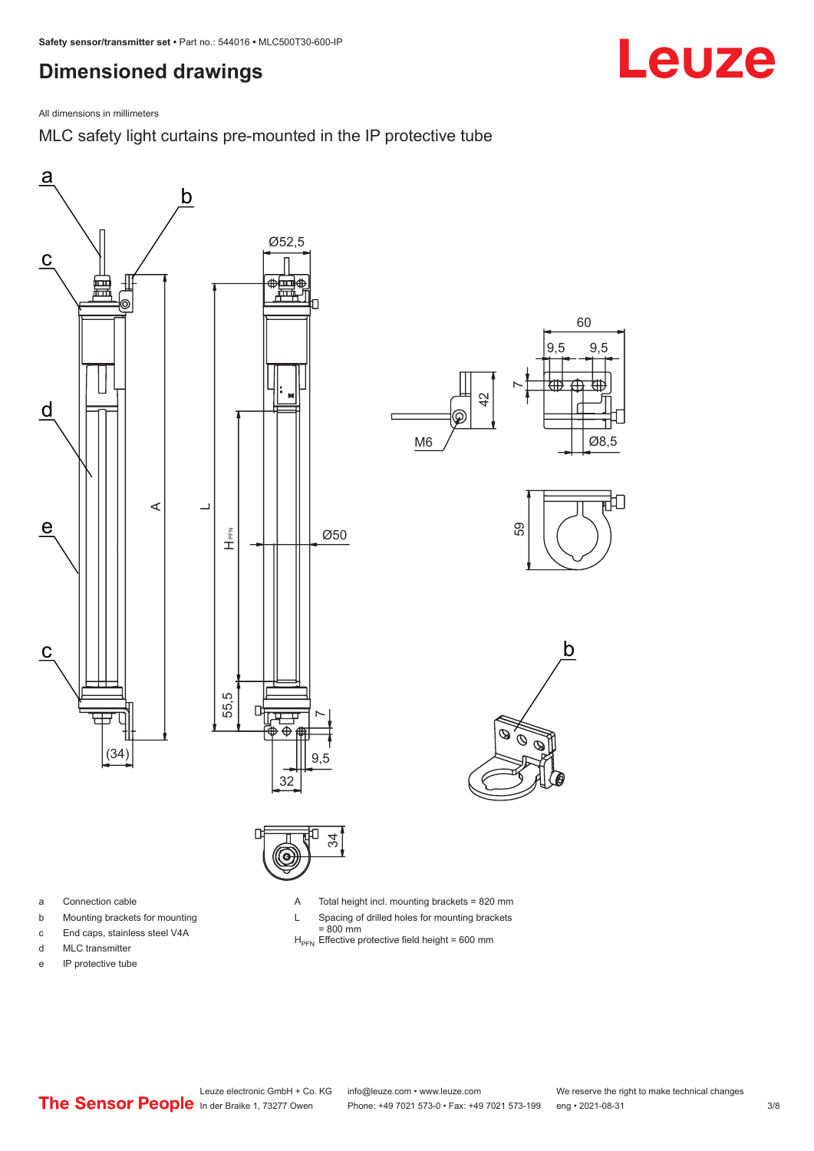## <span id="page-2-0"></span>**Dimensioned drawings**

All dimensions in millimeters

MLC safety light curtains pre-mounted in the IP protective tube





- a Connection cable
- b Mounting brackets for mounting
- c End caps, stainless steel V4A
- d MLC transmitter
- e IP protective tube

A Total height incl. mounting brackets = 820 mm

- L Spacing of drilled holes for mounting brackets
- = 800 mm<br>H<sub>PFN</sub> Effective protective field height = 600 mm
- 

34

Leuze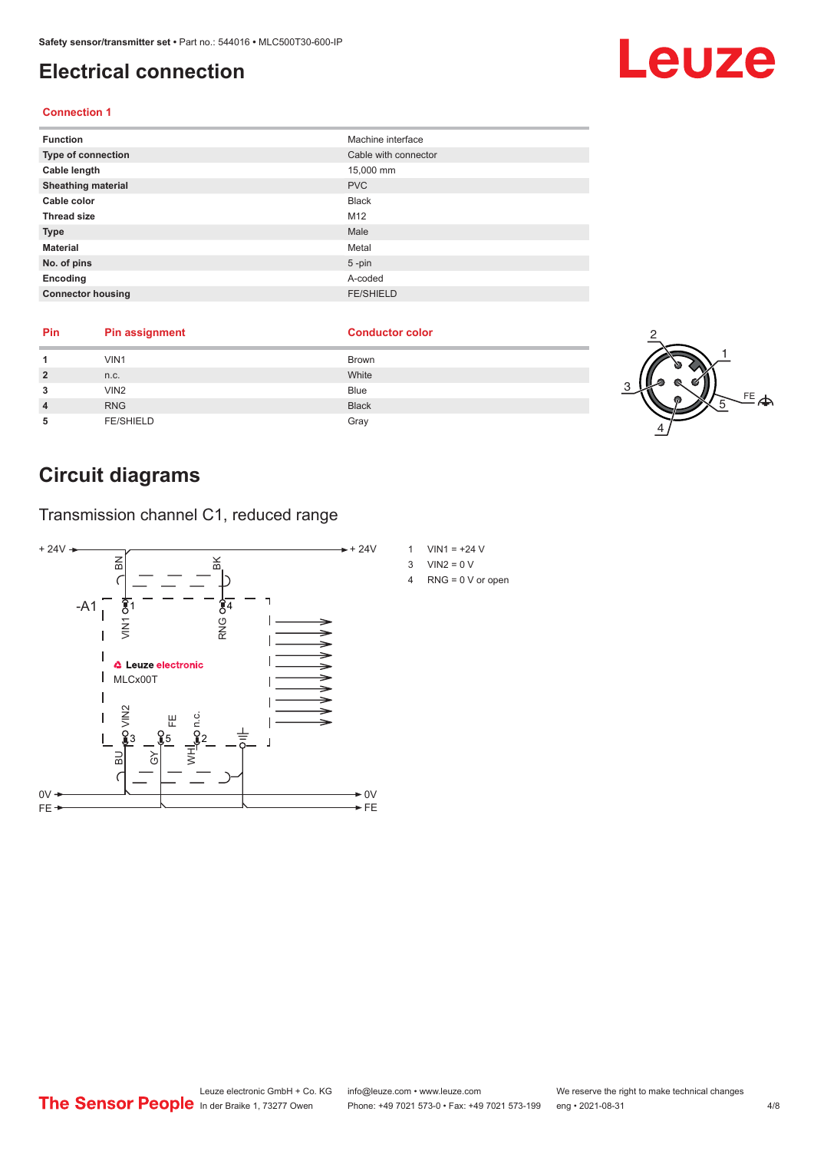### <span id="page-3-0"></span>**Electrical connection**

### **Connection 1**

| <b>Function</b>           | Machine interface    |
|---------------------------|----------------------|
| <b>Type of connection</b> | Cable with connector |
| Cable length              | 15,000 mm            |
| <b>Sheathing material</b> | <b>PVC</b>           |
| Cable color               | <b>Black</b>         |
| <b>Thread size</b>        | M12                  |
| <b>Type</b>               | Male                 |
| <b>Material</b>           | Metal                |
| No. of pins               | $5 - pin$            |
| Encoding                  | A-coded              |
| <b>Connector housing</b>  | <b>FE/SHIELD</b>     |

| Pin | <b>Pin assignment</b> | <b>Conductor color</b> |  |
|-----|-----------------------|------------------------|--|
|     | VIN1                  | <b>Brown</b>           |  |
|     | n.c.                  | White                  |  |
|     | VIN <sub>2</sub>      | <b>Blue</b>            |  |
|     | <b>RNG</b>            | <b>Black</b>           |  |
|     | <b>FE/SHIELD</b>      | Gray                   |  |

## **Circuit diagrams**

Transmission channel C1, reduced range



# Leuze

 $E_{\text{A}}$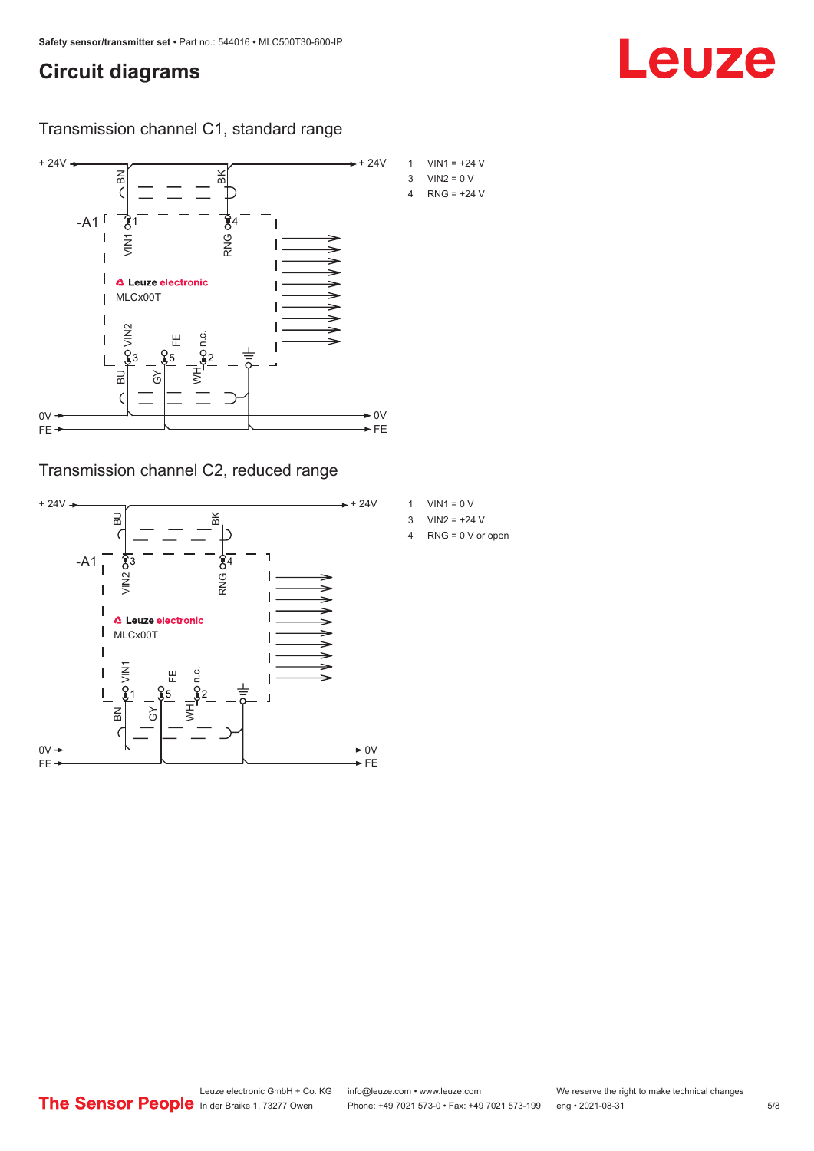### **Circuit diagrams**

Transmission channel C1, standard range



Transmission channel C2, reduced range



- 1 VIN1 =  $0 V$
- 3  $VIN2 = +24 V$
- 4 RNG = 0 V or open

Leuze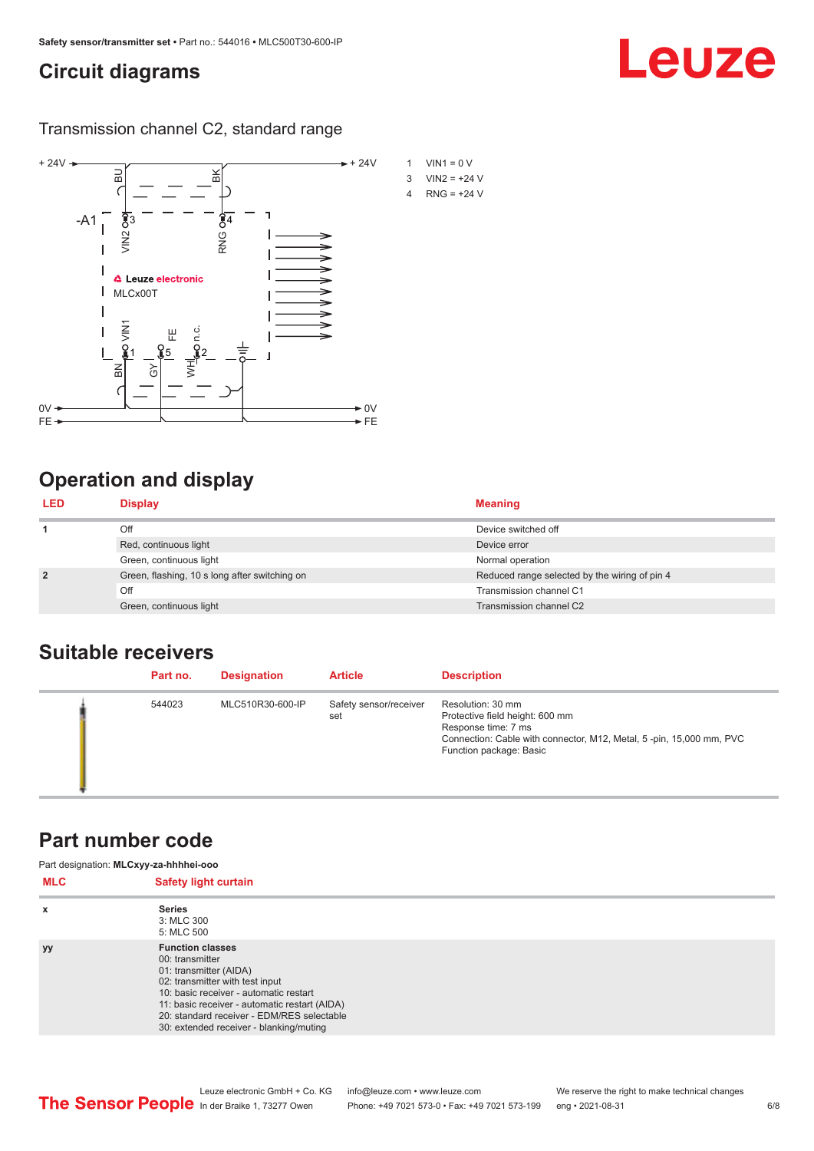### <span id="page-5-0"></span>**Circuit diagrams**

Transmission channel C2, standard range



## **Operation and display**

| <b>LED</b>                                                                                                                 | <b>Display</b>          | <b>Meaning</b>                                |  |
|----------------------------------------------------------------------------------------------------------------------------|-------------------------|-----------------------------------------------|--|
| Off                                                                                                                        |                         | Device switched off                           |  |
| Red, continuous light<br>Green, continuous light<br>Green, flashing, 10 s long after switching on<br>$\overline{2}$<br>Off |                         | Device error                                  |  |
|                                                                                                                            |                         | Normal operation                              |  |
|                                                                                                                            |                         | Reduced range selected by the wiring of pin 4 |  |
|                                                                                                                            |                         | Transmission channel C1                       |  |
|                                                                                                                            | Green, continuous light | Transmission channel C2                       |  |

### **Suitable receivers**

| Part no. | <b>Designation</b> | <b>Article</b>                | <b>Description</b>                                                                                                                                                            |
|----------|--------------------|-------------------------------|-------------------------------------------------------------------------------------------------------------------------------------------------------------------------------|
| 544023   | MLC510R30-600-IP   | Safety sensor/receiver<br>set | Resolution: 30 mm<br>Protective field height: 600 mm<br>Response time: 7 ms<br>Connection: Cable with connector, M12, Metal, 5-pin, 15,000 mm, PVC<br>Function package: Basic |

### **Part number code**

| <b>MLC</b> | <b>Safety light curtain</b>                                                                                                                                                                                                                                                                 |  |
|------------|---------------------------------------------------------------------------------------------------------------------------------------------------------------------------------------------------------------------------------------------------------------------------------------------|--|
| x          | <b>Series</b><br>3: MLC 300<br>5: MLC 500                                                                                                                                                                                                                                                   |  |
| <b>yy</b>  | <b>Function classes</b><br>00: transmitter<br>01: transmitter (AIDA)<br>02: transmitter with test input<br>10: basic receiver - automatic restart<br>11: basic receiver - automatic restart (AIDA)<br>20: standard receiver - EDM/RES selectable<br>30: extended receiver - blanking/muting |  |

Leuze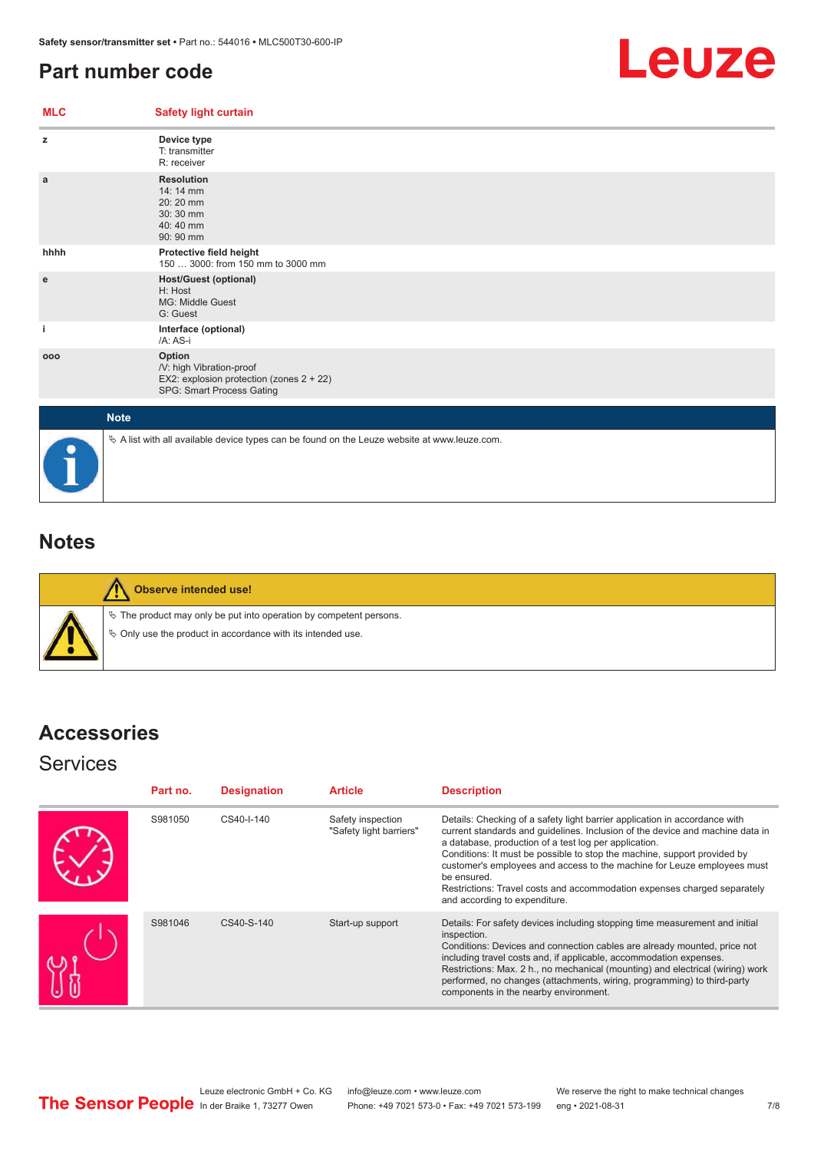## <span id="page-6-0"></span>**Part number code**



| <b>MLC</b> | <b>Safety light curtain</b>                                                                                 |
|------------|-------------------------------------------------------------------------------------------------------------|
| z          | Device type<br>T: transmitter<br>R: receiver                                                                |
| a          | <b>Resolution</b><br>14: 14 mm<br>$20:20$ mm<br>30:30 mm<br>40:40 mm<br>90: 90 mm                           |
| hhhh       | Protective field height<br>150  3000: from 150 mm to 3000 mm                                                |
| e          | <b>Host/Guest (optional)</b><br>H: Host<br><b>MG: Middle Guest</b><br>G: Guest                              |
| j.         | Interface (optional)<br>/A: AS-i                                                                            |
| 000        | Option<br>/V: high Vibration-proof<br>EX2: explosion protection (zones 2 + 22)<br>SPG: Smart Process Gating |
|            | <b>Note</b>                                                                                                 |
|            | $\&$ A list with all available device types can be found on the Leuze website at www.leuze.com.             |

## **Notes**

**Observe intended use!**  $\%$  The product may only be put into operation by competent persons.  $\%$  Only use the product in accordance with its intended use.

## **Accessories**

### **Services**

| Part no. | <b>Designation</b> | <b>Article</b>                               | <b>Description</b>                                                                                                                                                                                                                                                                                                                                                                                                                                                                                      |
|----------|--------------------|----------------------------------------------|---------------------------------------------------------------------------------------------------------------------------------------------------------------------------------------------------------------------------------------------------------------------------------------------------------------------------------------------------------------------------------------------------------------------------------------------------------------------------------------------------------|
| S981050  | CS40-I-140         | Safety inspection<br>"Safety light barriers" | Details: Checking of a safety light barrier application in accordance with<br>current standards and guidelines. Inclusion of the device and machine data in<br>a database, production of a test log per application.<br>Conditions: It must be possible to stop the machine, support provided by<br>customer's employees and access to the machine for Leuze employees must<br>be ensured.<br>Restrictions: Travel costs and accommodation expenses charged separately<br>and according to expenditure. |
| S981046  | CS40-S-140         | Start-up support                             | Details: For safety devices including stopping time measurement and initial<br>inspection.<br>Conditions: Devices and connection cables are already mounted, price not<br>including travel costs and, if applicable, accommodation expenses.<br>Restrictions: Max. 2 h., no mechanical (mounting) and electrical (wiring) work<br>performed, no changes (attachments, wiring, programming) to third-party<br>components in the nearby environment.                                                      |